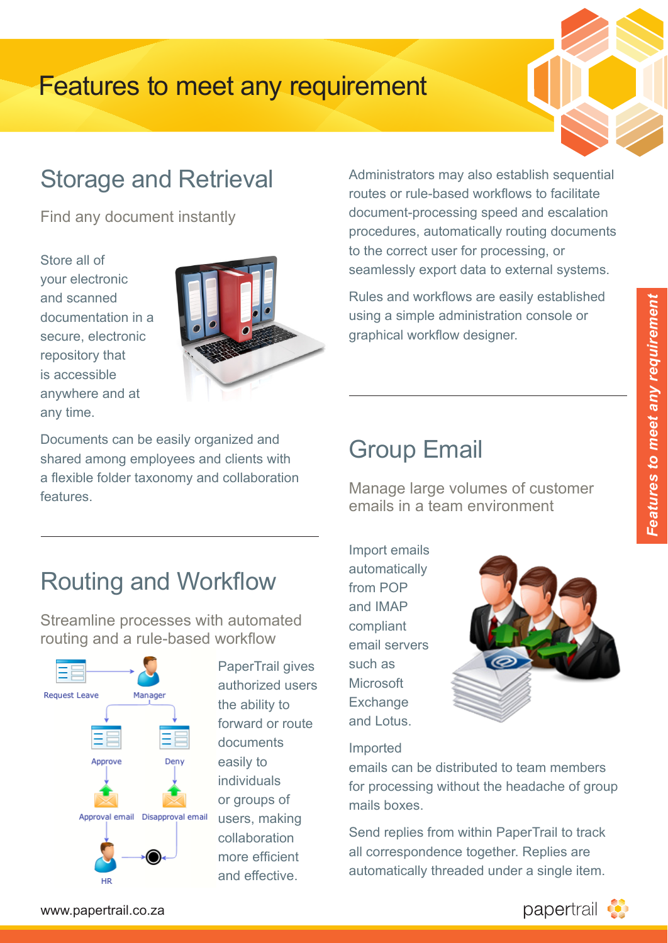

#### Storage and Retrieval **Technologies**  $\mathsf{U}$ **Client - OS** 7al and *V*

Find any document instantly

Store all of your electronic .<br>and scanned documentation in a secure, electronic repository that is accessible anywhere and at any time.  $\frac{1}{1}$ documenta any moster any un

- Ubuntu



Documents can be easily organized and shared among employees and clients with a flexible folder taxonomy and collaboration features. **Server Control**<br>Server de la fa a flexible folder taxonomy and collaboration active Directory  $\mathcal{L}$ 

Administrators may also establish sequential routes or rule-based workflows to facilitate document-processing speed and escalation procedures, automatically routing documents to the correct user for processing, or seamlessly export data to external systems. **Scalability** statistic Sequence Sessions Sessions Sequence Seconds<br>Sessions Sequence Sequence Sequence Sequence Sequence Sequence Sequence Sequence Sequence Sequence Sequence Se  $\alpha$  data to external system

Rules and workflows are easily established using a simple administration console or graphical workflow designer. minodiadori concon

System Wide Audit Log

# Group Email

Manage large volumes of customer emails in a team environment

### Routing and Workflow *64bit Compatible* DW WO

Streamline processes with automated routing and a rule-based workflow



the ability to documents easily to individuals users, making collaboration more efficient and effective.

 $\overline{\phantom{m}}$  . The state  $\overline{\phantom{m}}$ 

Import emails automatically from POP and IMAP compliant email servers such as **Microsoft** Exchange and Lotus. Folder Post Process



### Imported

emails can be distributed to team members for processing without the headache of group mails boxes.

Send replies from within PaperTrail to track all correspondence together. Replies are automatically threaded under a single item.

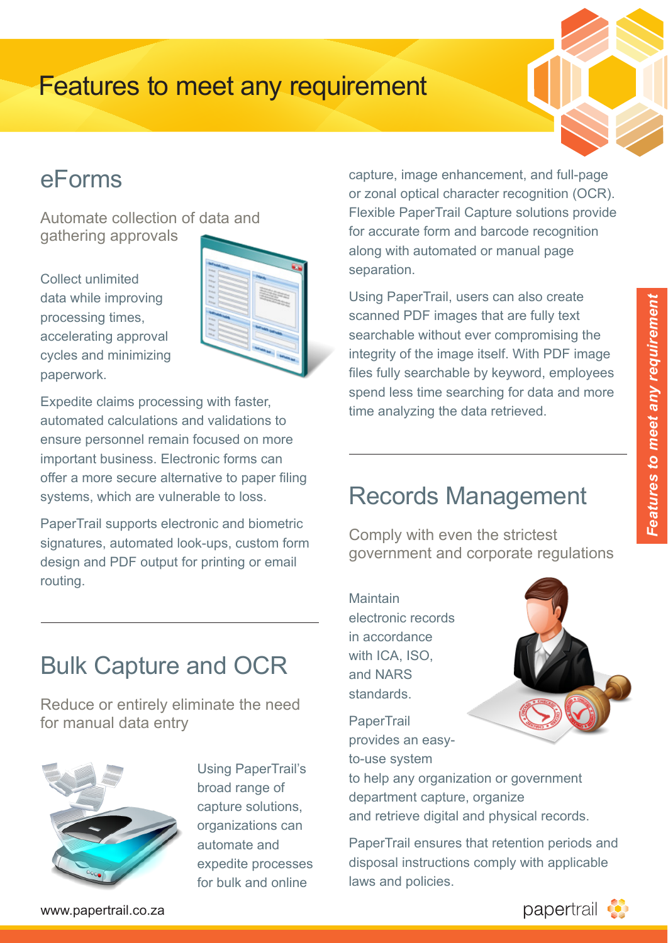

#### eForms **Technologies** er

Automate collection of data and nditendie concentri Jetty Windows 8

Collect unlimited data while improving processing times, accelerating approval cycles and minimizing paperwork. open will be a control of the control of the control of the control of the control of the control of the control of the control of the control of the control of the control of the control of the control of the control of t processing **Databases**

|                                                                              | a <sub>l</sub> |
|------------------------------------------------------------------------------|----------------|
| m.                                                                           | SE             |
| <b>Page</b><br>hi <sub>k</sub><br><b>Frida</b><br>n,<br><b>Printer</b><br>۰. | U              |
| ۰.                                                                           | S <sub>C</sub> |
| ۰.                                                                           | SE             |
|                                                                              | in             |
|                                                                              | fil            |

Apple iOS

Expedite claims processing with faster, automated calculations and validations to ensure personnel remain focused on more important business. Electronic forms can offer a more secure alternative to paper filing systems, which are vulnerable to loss. **Server - OS** offer a more secure alternative to paper filing

PaperTrail supports electronic and biometric signatures, automated look-ups, custom form design and PDF output for printing or email routing.  $D$ aperTrail supports electronic and biometric Vi Gillall

capture, image enhancement, and full-page or zonal optical character recognition (OCR). Flexible PaperTrail Capture solutions provide for accurate form and barcode recognition along with automated or manual page separation. **School** nancement, and fun-p

Using PaperTrail, users can also create scanned PDF images that are fully text searchable without ever compromising the integrity of the image itself. With PDF image **Security** files fully searchable by keyword, employees spend less time searching for data and more time analyzing the data retrieved. goo mat aro rany to  $F = F \cdot F \cdot F \cdot F$ 

## **Records Management**

Comply with even the strictest government and corporate regulations

**Maintain** electronic records in accordance with ICA, ISO, and NARS standards. Folder Post Processes Processes Processes Processes Processes Processes Processes Processes Processes Processes Processes Processes Processes Processes Processes Processes Processes Processes Processes Processes Processes - Single Server / VM (All server roles can be combined on a single server)



**PaperTrail** provides an easy-<br>provides an easyto-use system

to help any organization or government department capture, organize and retrieve digital and physical records.

> PaperTrail ensures that retention periods and disposal instructions comply with applicable laws and policies.

### **Bulk Capture and OCR**  $5$ uik Capture and Of

Reduce or entirely eliminate the need for manual data entry



Using PaperTrail's broad range of organizations can automate and expedite processes for bulk and online

www.papertrail.co.za

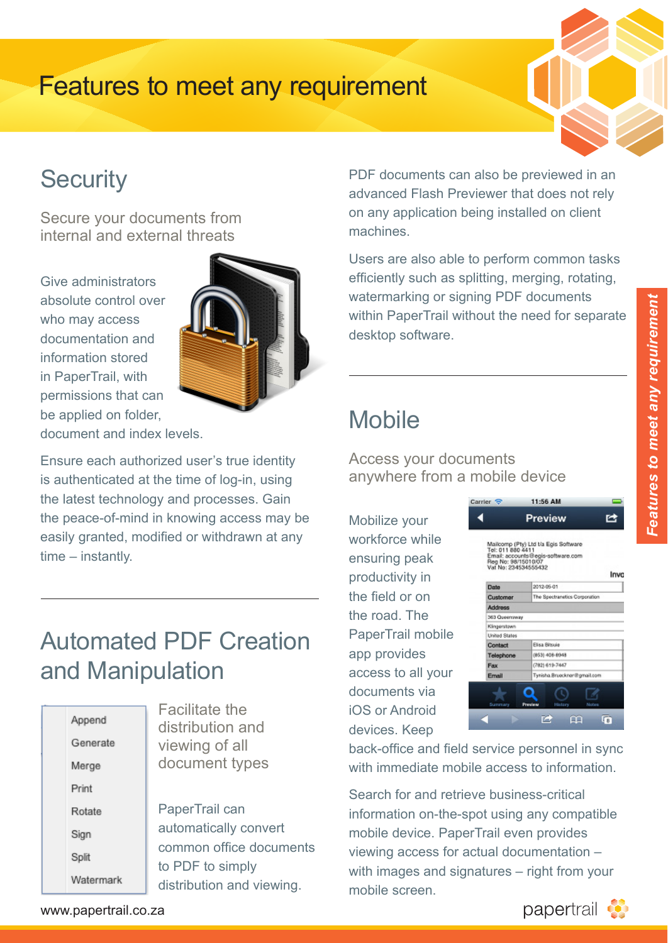

#### **Security Technologies PA**

Secure your documents from internal and external threats  $\overline{\phantom{a}}$ 

Give administrators absolute control over who may access documentation and information stored in PaperTrail, with permissions that can **Databases** be applied on folder, Lucene apsolute di portilisaion<br>.



document and index levels.

Ensure each authorized user's true identity is authenticated at the time of log-in, using Lotus Charles Little Little Dring Div, Dong<br>the latest technology and processes. Gain the peace-of-mind in knowing access may be Mo easily granted, modified or withdrawn at any time – instantly. ony grand<br>osaliseks  $\overline{C}$  -  $\overline{D}$  $\mathcal{L}$ 

### **Automated PDF Creation** and Manipulation  $\frac{1}{2}$  Second cores CPU extension  $\frac{1}{2}$  cores with 2 cores cores

| Append<br>Generate<br>Merge<br>Print | <b>Facilitate the</b><br>distribution and<br>viewing of all<br>document types |
|--------------------------------------|-------------------------------------------------------------------------------|
| Rotate                               | PaperTrail can                                                                |
| Sign                                 | automatically convert                                                         |
| Split                                | common office docum                                                           |
|                                      | to PDF to simply                                                              |
| Watermark                            | المرادي وتمرادي المرتمز مراحم والقارير والمراحية المراكب                      |

*64bit Compatible*

Facilitate the distribution and viewing of all document types **Repend Repend** Server Repeated Server Repeated Server Repeated Server Repeated Server Repeated Server Repeated Server Repeated Server Repeated Server Repeated Server Repeated Server Repeated Server Repeated Server Repea example and the Main Control of the Control of the Control of the Control of the Control of the Control of the Control of the Control of the Control of the Control of the Control of the Control of the Control of the Contro

> PaperTrail can automatically convert common office documents to PDF to simply distribution and viewing.

PDF documents can also be previewed in an advanced Flash Previewer that does not rely on any application being installed on client machines. **Scalability** an also be previewed

Users are also able to perform common tasks efficiently such as splitting, merging, rotating, watermarking or signing PDF documents within PaperTrail without the need for separate desktop software. minout the nobal for

Fine Grained Permissions

## **Mobile**

Access your documents anywhere from a mobile device

Carrier<sup>5</sup>

Mobilize your workforce while ensuring peak productivity in the field or on the road. The PaperTrail mobile app provides access to all your documents via iOS or Android devices. Keep  $\overline{\phantom{a}}$  and  $\overline{\phantom{a}}$  and  $\overline{\phantom{a}}$ 



11-56 AM

back-office and field service personnel in sync with immediate mobile access to information.

Search for and retrieve business-critical Rotate **Papel IIall Call Propertion** information on-the-spot using any compatible mobile device. PaperTrail even provides viewing access for actual documentation – with images and signatures – right from your mobile screen.

www.papertrail.co.za

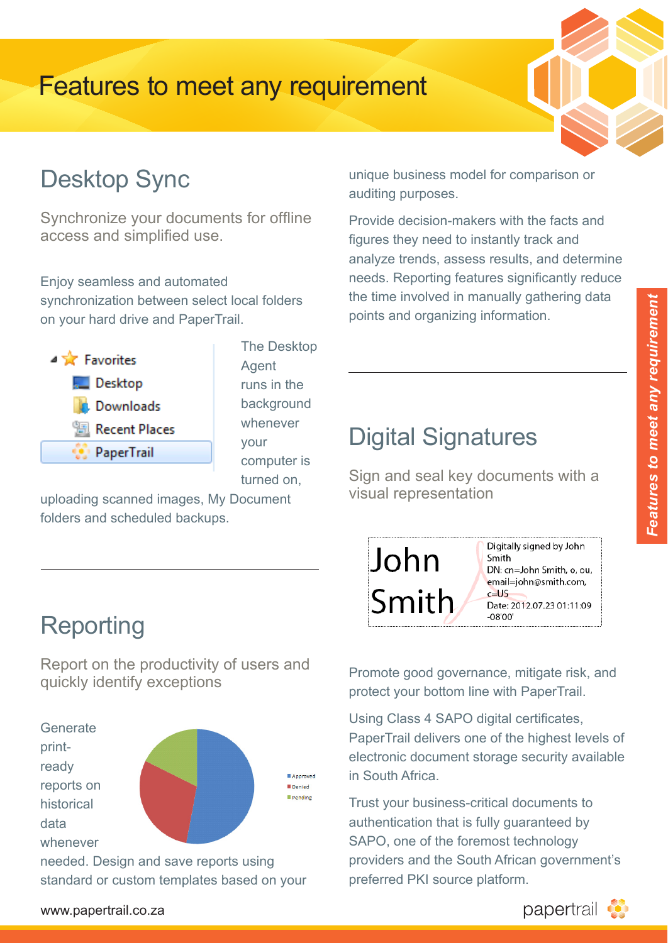

#### Desktop Sync **Technologies**  $\mathsf{D}\mathsf{C}$

Synchronize your documents for offline access and simplified use. avo windows 8

Enjoy seamless and automated synchronization between select local folders on your hard drive and PaperTrail. Lucence<br>Lucence Synchroniz **Browsers** arrolders  $\mathbb{R}^n$ 



The Desktop Agent **Mobile 1997** runs in the background whenever your when  $\mathcal V$ computer is turned on, Google Chrome

Folder Watch

uploading scanned images, My Document folders and scheduled backups.  $\sum_{i=1}^n$ 

# Reporting

- Debian

Report on the productivity of users and quickly identify exceptions and single server of the single server of the single server roles on a single server - Server Class CPU e.g. Xeon with 2 cores eport on the productivity or us



standard or custom templates based on your

unique business model for comparison or auditing purposes. **Scalability State International Setting** Node Level Partitioning

Provide decision-makers with the facts and figures they need to instantly track and analyze trends, assess results, and determine needs. Reporting features significantly reduce the time involved in manually gathering data points and organizing information.  $\sum_{i=1}^{n}$ ang momadon.

Fine Grained Permissions

### Digital Signatures File Repository tamper / natures

Sign and seal key documents with a visual representation



Promote good governance, mitigate risk, and protect your bottom line with PaperTrail.

Using Class 4 SAPO digital certificates, PaperTrail delivers one of the highest levels of electronic document storage security available in South Africa.

> Trust your business-critical documents to SAPO, one of the foremost technology providers and the South African government's preferred PKI source platform.

www.papertrail.co.za